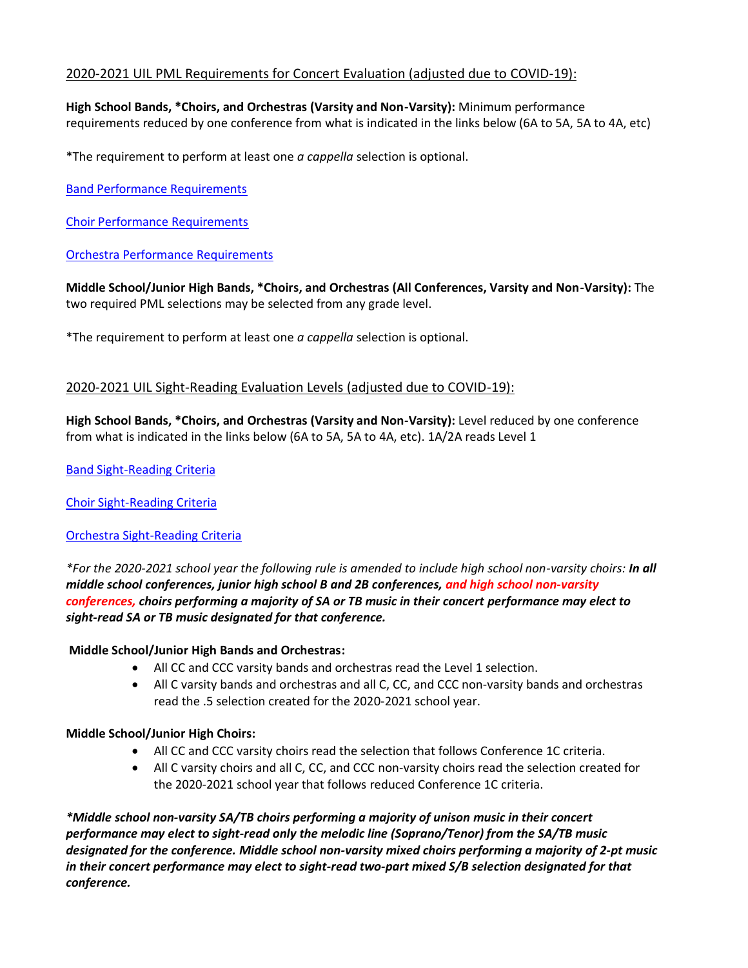# 2020-2021 UIL PML Requirements for Concert Evaluation (adjusted due to COVID-19):

**High School Bands, \*Choirs, and Orchestras (Varsity and Non-Varsity):** Minimum performance requirements reduced by one conference from what is indicated in the links below (6A to 5A, 5A to 4A, etc)

\*The requirement to perform at least one *a cappella* selection is optional.

[Band Performance Requirements](https://www.uiltexas.org/music/concert-sight-reading/band-performance-requirements)

[Choir Performance Requirements](https://www.uiltexas.org/music/concert-sight-reading/choir-performance-requirements)

[Orchestra Performance Requirements](https://www.uiltexas.org/music/concert-sight-reading/orchestra-performance-requirements)

**Middle School/Junior High Bands, \*Choirs, and Orchestras (All Conferences, Varsity and Non-Varsity):** The two required PML selections may be selected from any grade level.

\*The requirement to perform at least one *a cappella* selection is optional.

## 2020-2021 UIL Sight-Reading Evaluation Levels (adjusted due to COVID-19):

**High School Bands, \*Choirs, and Orchestras (Varsity and Non-Varsity):** Level reduced by one conference from what is indicated in the links below (6A to 5A, 5A to 4A, etc). 1A/2A reads Level 1

[Band Sight-Reading Criteria](https://www.uiltexas.org/music/concert-sight-reading/band-sight-reading-criteria)

[Choir Sight-Reading Criteria](https://www.uiltexas.org/music/concert-sight-reading/choir-sight-reading-criteria)

### [Orchestra Sight-Reading Criteria](https://www.uiltexas.org/music/concert-sight-reading/orchestra-sight-reading-criteria)

*\*For the 2020-2021 school year the following rule is amended to include high school non-varsity choirs: In all middle school conferences, junior high school B and 2B conferences, and high school non-varsity conferences, choirs performing a majority of SA or TB music in their concert performance may elect to sight-read SA or TB music designated for that conference.*

### **Middle School/Junior High Bands and Orchestras:**

- All CC and CCC varsity bands and orchestras read the Level 1 selection.
- All C varsity bands and orchestras and all C, CC, and CCC non-varsity bands and orchestras read the .5 selection created for the 2020-2021 school year.

### **Middle School/Junior High Choirs:**

- All CC and CCC varsity choirs read the selection that follows Conference 1C criteria.
- All C varsity choirs and all C, CC, and CCC non-varsity choirs read the selection created for the 2020-2021 school year that follows reduced Conference 1C criteria.

*\*Middle school non-varsity SA/TB choirs performing a majority of unison music in their concert performance may elect to sight-read only the melodic line (Soprano/Tenor) from the SA/TB music designated for the conference. Middle school non-varsity mixed choirs performing a majority of 2-pt music in their concert performance may elect to sight-read two-part mixed S/B selection designated for that conference.*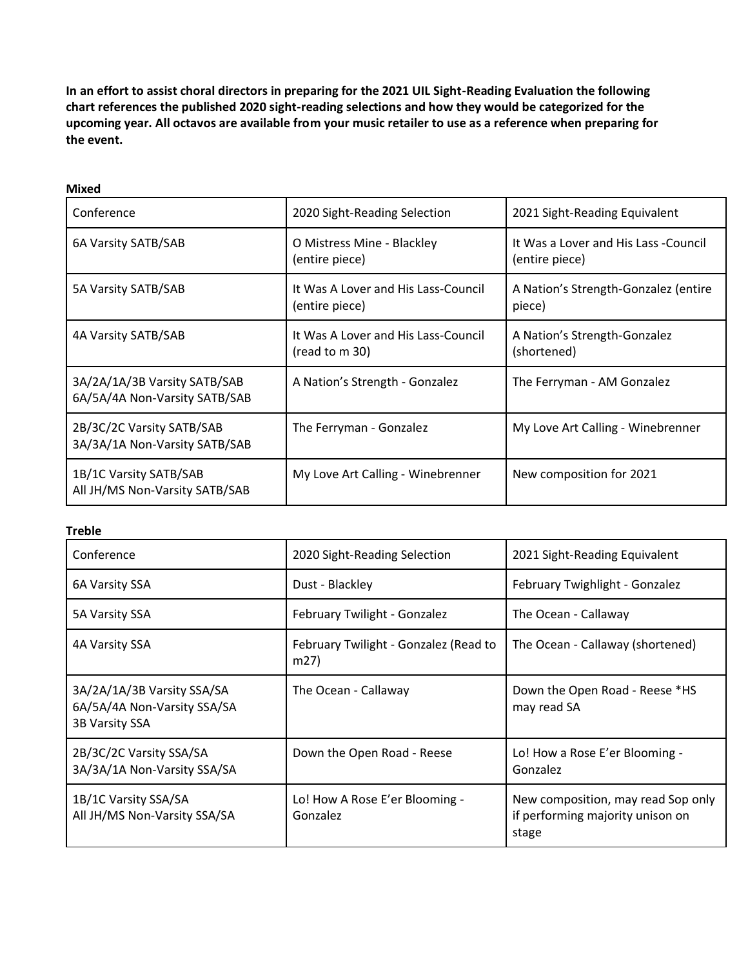**In an effort to assist choral directors in preparing for the 2021 UIL Sight-Reading Evaluation the following chart references the published 2020 sight-reading selections and how they would be categorized for the upcoming year. All octavos are available from your music retailer to use as a reference when preparing for the event.** 

| Ш<br>×<br>w<br>× |  |
|------------------|--|
|------------------|--|

| Conference                                                    | 2020 Sight-Reading Selection                          | 2021 Sight-Reading Equivalent                          |
|---------------------------------------------------------------|-------------------------------------------------------|--------------------------------------------------------|
| 6A Varsity SATB/SAB                                           | O Mistress Mine - Blackley<br>(entire piece)          | It Was a Lover and His Lass -Council<br>(entire piece) |
| 5A Varsity SATB/SAB                                           | It Was A Lover and His Lass-Council<br>(entire piece) | A Nation's Strength-Gonzalez (entire<br>piece)         |
| 4A Varsity SATB/SAB                                           | It Was A Lover and His Lass-Council<br>(read to m 30) | A Nation's Strength-Gonzalez<br>(shortened)            |
| 3A/2A/1A/3B Varsity SATB/SAB<br>6A/5A/4A Non-Varsity SATB/SAB | A Nation's Strength - Gonzalez                        | The Ferryman - AM Gonzalez                             |
| 2B/3C/2C Varsity SATB/SAB<br>3A/3A/1A Non-Varsity SATB/SAB    | The Ferryman - Gonzalez                               | My Love Art Calling - Winebrenner                      |
| 1B/1C Varsity SATB/SAB<br>All JH/MS Non-Varsity SATB/SAB      | My Love Art Calling - Winebrenner                     | New composition for 2021                               |

### **Treble**

| Conference                                                                         | 2020 Sight-Reading Selection                  | 2021 Sight-Reading Equivalent                                                   |
|------------------------------------------------------------------------------------|-----------------------------------------------|---------------------------------------------------------------------------------|
| 6A Varsity SSA                                                                     | Dust - Blackley                               | February Twighlight - Gonzalez                                                  |
| 5A Varsity SSA                                                                     | February Twilight - Gonzalez                  | The Ocean - Callaway                                                            |
| 4A Varsity SSA                                                                     | February Twilight - Gonzalez (Read to<br>m27) | The Ocean - Callaway (shortened)                                                |
| 3A/2A/1A/3B Varsity SSA/SA<br>6A/5A/4A Non-Varsity SSA/SA<br><b>3B Varsity SSA</b> | The Ocean - Callaway                          | Down the Open Road - Reese *HS<br>may read SA                                   |
| 2B/3C/2C Varsity SSA/SA<br>3A/3A/1A Non-Varsity SSA/SA                             | Down the Open Road - Reese                    | Lo! How a Rose E'er Blooming -<br>Gonzalez                                      |
| 1B/1C Varsity SSA/SA<br>All JH/MS Non-Varsity SSA/SA                               | Lo! How A Rose E'er Blooming -<br>Gonzalez    | New composition, may read Sop only<br>if performing majority unison on<br>stage |